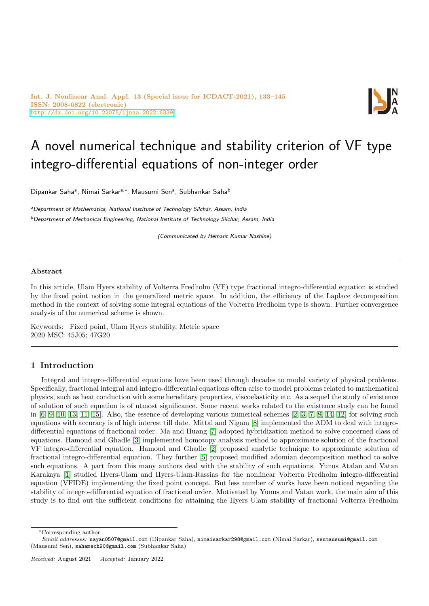

# A novel numerical technique and stability criterion of VF type integro-differential equations of non-integer order

Dipankar Sahaª, Nimai Sarkarª,\*, Mausumi Senª, Subhankar Saha<sup>b</sup>

aDepartment of Mathematics, National Institute of Technology Silchar, Assam, India  $b$ Department of Mechanical Engineering, National Institute of Technology Silchar, Assam, India

(Communicated by Hemant Kumar Nashine)

## Abstract

In this article, Ulam Hyers stability of Volterra Fredholm (VF) type fractional integro-differential equation is studied by the fixed point notion in the generalized metric space. In addition, the efficiency of the Laplace decomposition method in the context of solving some integral equations of the Volterra Fredholm type is shown. Further convergence analysis of the numerical scheme is shown.

Keywords: Fixed point, Ulam Hyers stability, Metric space 2020 MSC: 45J05; 47G20

# 1 Introduction

Integral and integro-differential equations have been used through decades to model variety of physical problems. Specifically, fractional integral and integro-differential equations often arise to model problems related to mathematical physics, such as heat conduction with some hereditary properties, viscoelasticity etc. As a sequel the study of existence of solution of such equation is of utmost significance. Some recent works related to the existence study can be found in  $[6, 9, 10, 13, 11, 15]$  $[6, 9, 10, 13, 11, 15]$  $[6, 9, 10, 13, 11, 15]$  $[6, 9, 10, 13, 11, 15]$  $[6, 9, 10, 13, 11, 15]$  $[6, 9, 10, 13, 11, 15]$ . Also, the essence of developing various numerical schemes  $[2, 3, 7, 8, 14, 12]$  $[2, 3, 7, 8, 14, 12]$  $[2, 3, 7, 8, 14, 12]$  $[2, 3, 7, 8, 14, 12]$  $[2, 3, 7, 8, 14, 12]$  $[2, 3, 7, 8, 14, 12]$  for solving such equations with accuracy is of high interest till date. Mittal and Nigam [\[8\]](#page-11-5) implemented the ADM to deal with integrodifferential equations of fractional order. Ma and Huang [\[7\]](#page-11-4) adopted hybridization method to solve concerned class of equations. Hamoud and Ghadle [\[3\]](#page-11-3) implemented homotopy analysis method to approximate solution of the fractional VF integro-differential equation. Hamoud and Ghadle [\[2\]](#page-11-2) proposed analytic technique to approximate solution of fractional integro-differential equation. They further [\[5\]](#page-11-6) proposed modified adomian decomposition method to solve such equations. A part from this many authors deal with the stability of such equations. Yunus Atalan and Vatan Karakaya [\[1\]](#page-11-7) studied Hyers-Ulam and Hyers-Ulam-Rassias for the nonlinear Volterra Fredholm integro-differential equation (VFIDE) implementing the fixed point concept. But less number of works have been noticed regarding the stability of integro-differential equation of fractional order. Motivated by Yunus and Vatan work, the main aim of this study is to find out the sufficient conditions for attaining the Hyers Ulam stability of fractional Volterra Fredholm

<sup>∗</sup>Corresponding author

Email addresses: nayan0507@gmail.com (Dipankar Saha), nimaisarkar298@gmail.com (Nimai Sarkar), senmausumi@gmail.com (Mausumi Sen), sahamech90@gmail.com (Subhankar Saha)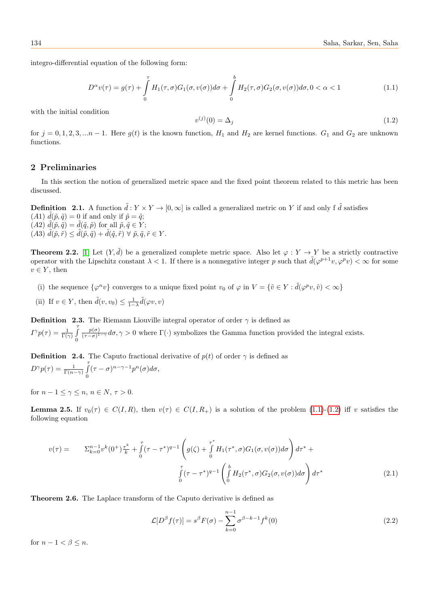integro-differential equation of the following form:

<span id="page-1-0"></span>
$$
D^{\alpha}v(\tau) = g(\tau) + \int_{0}^{\tau} H_1(\tau, \sigma)G_1(\sigma, v(\sigma))d\sigma + \int_{0}^{b} H_2(\tau, \sigma)G_2(\sigma, v(\sigma))d\sigma, 0 < \alpha < 1
$$
\n(1.1)

with the initial condition

<span id="page-1-1"></span>
$$
v^{(j)}(0) = \Delta_j \tag{1.2}
$$

for  $j = 0, 1, 2, 3, \ldots n-1$ . Here  $g(t)$  is the known function,  $H_1$  and  $H_2$  are kernel functions.  $G_1$  and  $G_2$  are unknown functions.

#### 2 Preliminaries

In this section the notion of generalized metric space and the fixed point theorem related to this metric has been discussed.

**Definition 2.1.** A function  $\tilde{d}: Y \times Y \to [0, \infty]$  is called a generalized metric on Y if and only f  $\tilde{d}$  satisfies (A1)  $\tilde{d}(\tilde{p}, \tilde{q}) = 0$  if and only if  $\tilde{p} = \tilde{q}$ ;  $(A2) \tilde{d}(\tilde{p}, \tilde{q}) = \tilde{d}(\tilde{q}, \tilde{p})$  for all  $\tilde{p}, \tilde{q} \in Y$ ;  $(A3) \tilde{d}(\tilde{p}, \tilde{r}) \leq \tilde{d}(\tilde{p}, \tilde{q}) + \tilde{d}(\tilde{q}, \tilde{r}) \ \forall \tilde{p}, \tilde{q}, \tilde{r} \in Y.$ 

<span id="page-1-2"></span>**Theorem 2.2.** [\[1\]](#page-11-7) Let  $(Y, \tilde{d})$  be a generalized complete metric space. Also let  $\varphi : Y \to Y$  be a strictly contractive operator with the Lipschitz constant  $\lambda < 1$ . If there is a nonnegative integer p such that  $\tilde{d}(\varphi^{p+1}v, \varphi^p v) < \infty$  for some  $v \in Y$ , then

- (i) the sequence  $\{\varphi^n v\}$  converges to a unique fixed point  $v_0$  of  $\varphi$  in  $V = \{\tilde{v} \in Y : \tilde{d}(\varphi^p v, \tilde{v}) < \infty\}$
- (ii) If  $v \in Y$ , then  $\tilde{d}(v, v_0) \leq \frac{1}{1-\lambda} \tilde{d}(\varphi v, v)$

**Definition 2.3.** The Riemann Liouville integral operator of order  $\gamma$  is defined as  $I^{\gamma}p(\tau) = \frac{1}{\Gamma(\gamma)}\int_{0}^{\tau}$ 0  $p(\sigma)$  $\frac{p(\sigma)}{(\tau-\sigma)^{1-\gamma}}d\sigma$ ,  $\gamma>0$  where  $\Gamma(\cdot)$  symbolizes the Gamma function provided the integral exists.

**Definition 2.4.** The Caputo fractional derivative of  $p(t)$  of order  $\gamma$  is defined as  $D^{\gamma}p(\tau) = \frac{1}{\Gamma(n-\gamma)}\int_{0}^{\tau}$  $\mathbf{0}$  $(\tau - \sigma)^{n-\gamma-1} p^n(\sigma) d\sigma,$ 

for  $n-1 \leq \gamma \leq n$ ,  $n \in N$ ,  $\tau > 0$ .

**Lemma 2.5.** If  $v_0(\tau) \in C(I, R)$ , then  $v(\tau) \in C(I, R_+)$  is a solution of the problem [\(1.1\)](#page-1-0)-[\(1.2\)](#page-1-1) iff v satisfies the following equation

$$
v(\tau) = \sum_{k=0}^{n-1} v^k (0^+)^{\tau^k} f(\tau - \tau^*)^{q-1} \left( g(\zeta) + \int_0^{\tau^*} H_1(\tau^*, \sigma) G_1(\sigma, v(\sigma)) d\sigma \right) d\tau^* + \int_0^{\tau} (\tau - \tau^*)^{q-1} \left( \int_0^b H_2(\tau^*, \sigma) G_2(\sigma, v(\sigma)) d\sigma \right) d\tau^* \tag{2.1}
$$

Theorem 2.6. The Laplace transform of the Caputo derivative is defined as

$$
\mathcal{L}[D^{\beta}f(\tau)] = s^{\beta}F(\sigma) - \sum_{k=0}^{n-1} \sigma^{\beta-k-1}f^k(0)
$$
\n(2.2)

for  $n - 1 < \beta \leq n$ .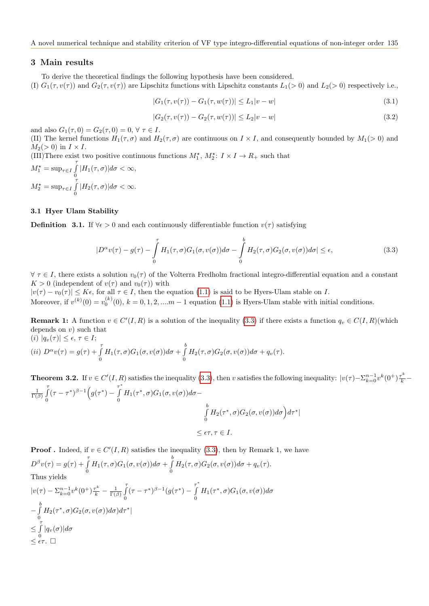#### 3 Main results

To derive the theoretical findings the following hypothesis have been considered.

(I)  $G_1(\tau, v(\tau))$  and  $G_2(\tau, v(\tau))$  are Lipschitz functions with Lipschitz constants  $L_1(>0)$  and  $L_2(>0)$  respectively i.e.,

$$
|G_1(\tau, v(\tau)) - G_1(\tau, w(\tau))| \le L_1 |v - w|
$$
\n(3.1)

$$
|G_2(\tau, v(\tau)) - G_2(\tau, w(\tau))| \le L_2 |v - w|
$$
\n(3.2)

and also  $G_1(\tau, 0) = G_2(\tau, 0) = 0, \forall \tau \in I$ .

(II) The kernel functions  $H_1(\tau, \sigma)$  and  $H_2(\tau, \sigma)$  are continuous on  $I \times I$ , and consequently bounded by  $M_1(> 0)$  and  $M_2(>0)$  in  $I \times I$ .

(III)There exist two positive continuous functions  $M_1^*$ ,  $M_2^*: I \times I \to R_+$  such that

$$
M_1^* = \sup_{\tau \in I} \int_{0}^{\tau} |H_1(\tau, \sigma)| d\sigma < \infty,
$$
  

$$
M_2^* = \sup_{\tau \in I} \int_{0}^{\tau} |H_2(\tau, \sigma)| d\sigma < \infty.
$$

#### 3.1 Hyer Ulam Stability

**Definition 3.1.** If  $\forall \epsilon > 0$  and each continuously differentiable function  $v(\tau)$  satisfying

<span id="page-2-0"></span>
$$
|D^{\alpha}v(\tau) - g(\tau) - \int_{0}^{\tau} H_1(\tau, \sigma)G_1(\sigma, v(\sigma))d\sigma - \int_{0}^{b} H_2(\tau, \sigma)G_2(\sigma, v(\sigma))d\sigma| \le \epsilon,
$$
\n(3.3)

 $\forall \tau \in I$ , there exists a solution  $v_0(\tau)$  of the Volterra Fredholm fractional integro-differential equation and a constant  $K > 0$  (independent of  $v(\tau)$  and  $v_0(\tau)$ ) with

 $|v(\tau) - v_0(\tau)| \leq K\epsilon$ , for all  $\tau \in I$ , then the equation [\(1.1\)](#page-1-0) is said to be Hyers-Ulam stable on I. Moreover, if  $v^{(k)}(0) = v_0^{(k)}(0)$ ,  $k = 0, 1, 2, \dots m-1$  equation [\(1.1\)](#page-1-0) is Hyers-Ulam stable with initial conditions.

**Remark 1:** A function  $v \in C'(I, R)$  is a solution of the inequality [\(3.3\)](#page-2-0) if there exists a function  $q_v \in C(I, R)$  (which depends on  $v$ ) such that (i)  $|a_n(\tau)| \leq \epsilon, \tau \in I;$ 

$$
(ii) D^{\alpha}v(\tau) = g(\tau) + \int_{0}^{\tau} H_1(\tau, \sigma)G_1(\sigma, v(\sigma))d\sigma + \int_{0}^{b} H_2(\tau, \sigma)G_2(\sigma, v(\sigma))d\sigma + q_v(\tau).
$$

**Theorem 3.2.** If  $v \in C'(I, R)$  satisfies the inequality [\(3.3\)](#page-2-0), then v satisfies the following inequality:  $|v(\tau) - \sum_{k=0}^{n-1} v^k(0^+)|^{\frac{\tau^k}{k}}$  $\frac{1}{\Gamma(\beta)}\int\limits_{0}^{T}$ 0  $(\tau - \tau^*)^{\beta - 1} \Big( g(\tau^*) - \int^{\tau^*}$ R  $\int\limits_0^{\pi} H_1(\tau^*,\sigma)G_1(\sigma,v(\sigma))d\sigma \int_a^b$  $\int\limits_0^{\sigma} H_2(\tau^*,\sigma) G_2(\sigma,v(\sigma))d\sigma\Big) d\tau^*|$ 

$$
\leq \epsilon \tau, \tau \in I.
$$

<span id="page-2-1"></span>**Proof**. Indeed, if  $v \in C'(I,R)$  satisfies the inequality [\(3.3\)](#page-2-0), then by Remark 1, we have  $D^{\beta}v(\tau) = g(\tau) + \int_{0}^{\tau}$  $\int\limits_0^{\tau} H_1(\tau,\sigma) G_1(\sigma,v(\sigma))d\sigma + \int\limits_0^b$  $\int\limits_0^{\tau} H_2(\tau,\sigma)G_2(\sigma,v(\sigma))d\sigma + q_v(\tau).$ Thus yields  $|v(\tau) - \Sigma_{k=0}^{n-1} v^k(0^+)|^{\frac{\tau^k}{k}} - \frac{1}{\Gamma(\beta)} \int_0^{\tau}$ 0  $(\tau - \tau^*)^{\beta - 1}(g(\tau^*) - \int^{\tau^*}$ R  $\int\limits_0^{\pi} H_1(\tau^*,\sigma)G_1(\sigma,v(\sigma))d\sigma$  $-\int_a^b$  $\int\limits_0^{\tau} H_2(\tau^*,\sigma) G_2(\sigma,v(\sigma))d\sigma)d\tau^*$  $\leq \int$  $\int\limits_0^{\cdot}|q_v(\sigma)|d\sigma$  $\leq$   $\epsilon \tau$ .  $\Box$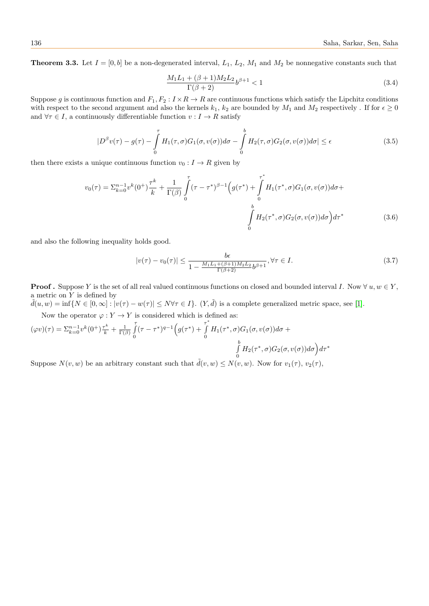**Theorem 3.3.** Let  $I = [0, b]$  be a non-degenerated interval,  $L_1$ ,  $L_2$ ,  $M_1$  and  $M_2$  be nonnegative constants such that

<span id="page-3-1"></span>
$$
\frac{M_1 L_1 + (\beta + 1) M_2 L_2}{\Gamma(\beta + 2)} b^{\beta + 1} < 1 \tag{3.4}
$$

Suppose g is continuous function and  $F_1, F_2 : I \times R \to R$  are continuous functions which satisfy the Lipchitz conditions with respect to the second argument and also the kernels  $k_1$ ,  $k_2$  are bounded by  $M_1$  and  $M_2$  respectively. If for  $\epsilon \geq 0$ and  $\forall \tau \in I$ , a continuously differentiable function  $v : I \to R$  satisfy

<span id="page-3-0"></span>
$$
|D^{\beta}v(\tau) - g(\tau) - \int_{0}^{\tau} H_1(\tau, \sigma)G_1(\sigma, v(\sigma))d\sigma - \int_{0}^{b} H_2(\tau, \sigma)G_2(\sigma, v(\sigma))d\sigma| \le \epsilon
$$
\n(3.5)

then there exists a unique continuous function  $v_0 : I \to R$  given by

$$
v_0(\tau) = \Sigma_{k=0}^{n-1} v^k (0^+) \frac{\tau^k}{k} + \frac{1}{\Gamma(\beta)} \int_0^{\tau} (\tau - \tau^*)^{\beta - 1} \left( g(\tau^*) + \int_0^{\tau^*} H_1(\tau^*, \sigma) G_1(\sigma, v(\sigma)) d\sigma + \int_0^b H_2(\tau^*, \sigma) G_2(\sigma, v(\sigma)) d\sigma \right) d\tau^*
$$
(3.6)

and also the following inequality holds good.

$$
|v(\tau) - v_0(\tau)| \le \frac{b\epsilon}{1 - \frac{M_1 L_1 + (\beta + 1)M_2 L_2}{\Gamma(\beta + 2)} b^{\beta + 1}}, \forall \tau \in I.
$$
\n(3.7)

**Proof.** Suppose Y is the set of all real valued continuous functions on closed and bounded interval I. Now  $\forall u, w \in Y$ , a metric on  $Y$  is defined by

 $\tilde{d}(u, w) = \inf \{ N \in [0, \infty] : |v(\tau) - w(\tau)| \leq N \forall \tau \in I \}.$  (Y,  $\tilde{d}$ ) is a complete generalized metric space, see [\[1\]](#page-11-7).

Now the operator  $\varphi: Y \to Y$  is considered which is defined as:

$$
(\varphi v)(\tau) = \Sigma_{k=0}^{n-1} v^k (0^+) \frac{\tau^k}{k} + \frac{1}{\Gamma(\beta)} \int_0^{\tau} (\tau - \tau^*)^{q-1} \left( g(\tau^*) + \int_0^{\tau^*} H_1(\tau^*, \sigma) G_1(\sigma, v(\sigma)) d\sigma + \int_0^b H_2(\tau^*, \sigma) G_2(\sigma, v(\sigma)) d\sigma \right) d\tau^*
$$

Suppose  $N(v, w)$  be an arbitrary constant such that  $d(v, w) \leq N(v, w)$ . Now for  $v_1(\tau)$ ,  $v_2(\tau)$ ,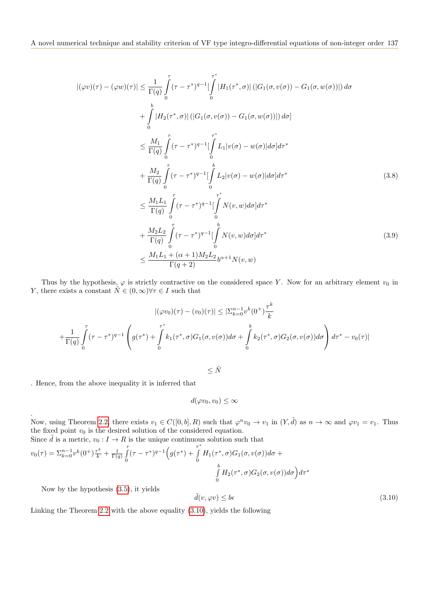$$
|(\varphi v)(\tau) - (\varphi w)(\tau)| \leq \frac{1}{\Gamma(q)} \int_{0}^{\tau} (\tau - \tau^{*})^{q-1} \left[ \int_{0}^{\tau^{*}} |H_{1}(\tau^{*}, \sigma)| \left( |G_{1}(\sigma, v(\sigma)) - G_{1}(\sigma, w(\sigma))| \right) d\sigma \right] + \int_{0}^{b} |H_{2}(\tau^{*}, \sigma)| \left( |G_{1}(\sigma, v(\sigma)) - G_{1}(\sigma, w(\sigma))| \right) d\sigma \right] 
$$
\leq \frac{M_{1}}{\Gamma(q)} \int_{0}^{\tau} (\tau - \tau^{*})^{q-1} \left[ \int_{0}^{\tau^{*}} L_{1}|v(\sigma) - w(\sigma)| d\sigma \right] d\tau^{*} + \frac{M_{2}}{\Gamma(q)} \int_{0}^{\tau} (\tau - \tau^{*})^{q-1} \left[ \int_{0}^{b} L_{2}|v(\sigma) - w(\sigma)| d\sigma \right] d\tau^{*} 
$$
\leq \frac{M_{1} L_{1}}{\Gamma(q)} \int_{0}^{\tau} (\tau - \tau^{*})^{q-1} \left[ \int_{0}^{\tau^{*}} N(v, w) d\sigma \right] d\tau^{*} + \frac{M_{2} L_{2}}{\Gamma(q)} \int_{0}^{\tau} (\tau - \tau^{*})^{q-1} \left[ \int_{0}^{b} N(v, w) d\sigma \right] d\tau^{*} 
$$
\leq \frac{M_{1} L_{1} + (\alpha + 1) M_{2} L_{2}}{\Gamma(q + 2)} b^{\alpha + 1} N(v, w)
$$
 (3.9)
$$
$$
$$

Thus by the hypothesis,  $\varphi$  is strictly contractive on the considered space Y. Now for an arbitrary element  $v_0$  in Y, there exists a constant  $\tilde{N} \in (0, \infty)$  $\forall \tau \in I$  such that

k

$$
|(\varphi v_0)(\tau) - (v_0)(\tau)| \le |\Sigma_{k=0}^{n-1} v^k(0^+)|^{\frac{\tau^k}{k}}
$$
  
+  $\frac{1}{\Gamma(q)} \int_0^{\tau} (\tau - \tau^*)^{q-1} \left( g(\tau^*) + \int_0^{\tau^*} k_1(\tau^*, \sigma) G_1(\sigma, v(\sigma)) d\sigma + \int_0^k k_2(\tau^*, \sigma) G_2(\sigma, v(\sigma)) d\sigma \right) d\tau^* - v_0(\tau)|$ 

 $\leq \tilde{N}$ 

. Hence, from the above inequality it is inferred that

$$
d(\varphi v_0, v_0) \leq \infty
$$

Now, using Theorem [2.2,](#page-1-2) there exists  $v_1 \in C([0, b], R)$  such that  $\varphi^n v_0 \to v_1$  in  $(Y, \tilde{d})$  as  $n \to \infty$  and  $\varphi v_1 = v_1$ . Thus the fixed point  $v_0$  is the desired solution of the considered equation. Since  $\tilde{d}$  is a metric,  $v_0 : I \to R$  is the unique continuous solution such that

$$
v_0(\tau) = \sum_{k=0}^{n-1} v^k (0^+)^{\tau^k} + \frac{1}{\Gamma(q)} \int_0^{\tau} (\tau - \tau^*)^{q-1} \Big( g(\tau^*) + \int_0^{\tau^*} H_1(\tau^*, \sigma) G_1(\sigma, v(\sigma)) d\sigma + \int_0^b H_2(\tau^*, \sigma) G_2(\sigma, v(\sigma)) d\sigma \Big) d\tau^*
$$

Now by the hypothesis [\(3.5\)](#page-3-0), it yields

.

<span id="page-4-0"></span>
$$
\tilde{d}(v,\varphi v) \le b\epsilon \tag{3.10}
$$

Linking the Theorem [2.2](#page-1-2) with the above equality [\(3.10\)](#page-4-0), yields the following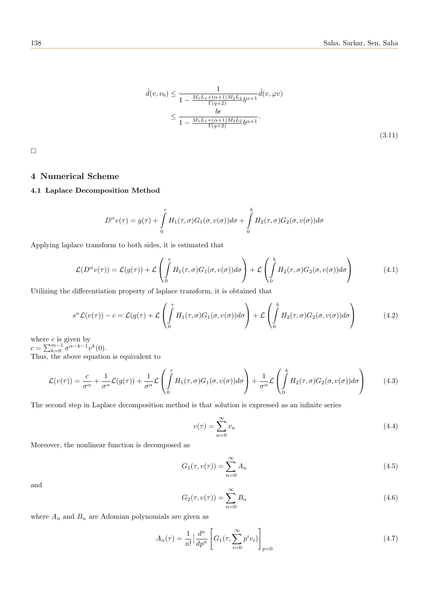$$
\tilde{d}(v, v_0) \le \frac{1}{1 - \frac{M_1 L_1 + (\alpha + 1) M_2 L_2}{\Gamma(q+2)} b^{\alpha + 1}} \tilde{d}(v, \varphi v)
$$
\n
$$
\le \frac{b\epsilon}{1 - \frac{M_1 L_1 + (\alpha + 1) M_2 L_2}{\Gamma(q+2)} b^{\alpha + 1}}.
$$
\n(3.11)

□

# 4 Numerical Scheme

## 4.1 Laplace Decomposition Method

$$
D^{\alpha}v(\tau) = g(\tau) + \int_{0}^{\tau} H_1(\tau, \sigma)G_1(\sigma, v(\sigma))d\sigma + \int_{0}^{b} H_2(\tau, \sigma)G_2(\sigma, v(\sigma))d\sigma
$$

Applying laplace transform to both sides, it is estimated that

$$
\mathcal{L}(D^{\alpha}v(\tau)) = \mathcal{L}(g(\tau)) + \mathcal{L}\left(\int_{0}^{\tau} H_{1}(\tau,\sigma)G_{1}(\sigma,v(\sigma))d\sigma\right) + \mathcal{L}\left(\int_{0}^{b} H_{2}(\tau,\sigma)G_{2}(\sigma,v(\sigma))d\sigma\right)
$$
(4.1)

Utilizing the differentiation property of laplace transform, it is obtained that

$$
s^{\alpha} \mathcal{L}(v(\tau)) - c = \mathcal{L}(g(\tau) + \mathcal{L}\left(\int_{0}^{\tau} H_{1}(\tau,\sigma)G_{1}(\sigma,v(\sigma))d\sigma\right) + \mathcal{L}\left(\int_{0}^{b} H_{2}(\tau,\sigma)G_{2}(\sigma,v(\sigma))d\sigma\right)
$$
(4.2)

where  $c$  is given by  $c = \sum_{k=0}^{m-1} \sigma^{\alpha-k-1} v^k(0).$ Thus, the above equation is equivalent to

$$
\mathcal{L}(v(\tau)) = \frac{c}{\sigma^{\alpha}} + \frac{1}{\sigma^{\alpha}} \mathcal{L}(g(\tau)) + \frac{1}{\sigma^{\alpha}} \mathcal{L}\left(\int_{0}^{\tau} H_{1}(\tau,\sigma)G_{1}(\sigma,v(\sigma))d\sigma\right) + \frac{1}{\sigma^{\alpha}} \mathcal{L}\left(\int_{0}^{b} H_{2}(\tau,\sigma)G_{2}(\sigma,v(\sigma))d\sigma\right) \tag{4.3}
$$

The second step in Laplace decomposition method is that solution is expressed as an infinite series

<span id="page-5-2"></span>
$$
v(\tau) = \sum_{n=0}^{\infty} v_n \tag{4.4}
$$

Moreover, the nonlinear function is decomposed as

<span id="page-5-0"></span>
$$
G_1(\tau, v(\tau)) = \sum_{n=0}^{\infty} A_n \tag{4.5}
$$

and

<span id="page-5-1"></span>
$$
G_2(\tau, v(\tau)) = \sum_{n=0}^{\infty} B_n \tag{4.6}
$$

where  $A_n$  and  $B_n$  are Adomian polynomials are given as

$$
A_n(\tau) = \frac{1}{n!} \left[ \frac{d^n}{dp^n} \left[ G_1(\tau, \sum_{i=0}^{\infty} p^i v_i) \right]_{p=0} \right]
$$
 (4.7)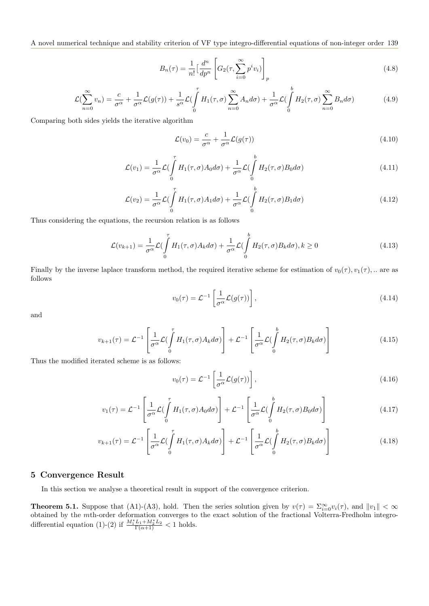A novel numerical technique and stability criterion of VF type integro-differential equations of non-integer order 139

$$
B_n(\tau) = \frac{1}{n!} \left[ \frac{d^n}{dp^n} \left[ G_2(\tau, \sum_{i=0}^{\infty} p^i v_i) \right]_p \right]
$$
\n(4.8)

$$
\mathcal{L}(\sum_{n=0}^{\infty} v_n) = \frac{c}{\sigma^{\alpha}} + \frac{1}{\sigma^{\alpha}} \mathcal{L}(g(\tau)) + \frac{1}{s^{\alpha}} \mathcal{L}(\int_{0}^{\tau} H_1(\tau, \sigma) \sum_{n=0}^{\infty} A_n d\sigma) + \frac{1}{\sigma^{\alpha}} \mathcal{L}(\int_{0}^{b} H_2(\tau, \sigma) \sum_{n=0}^{\infty} B_n d\sigma)
$$
(4.9)

Comparing both sides yields the iterative algorithm

$$
\mathcal{L}(v_0) = \frac{c}{\sigma^{\alpha}} + \frac{1}{\sigma^{\alpha}} \mathcal{L}(g(\tau))
$$
\n(4.10)

$$
\mathcal{L}(v_1) = \frac{1}{\sigma^{\alpha}} \mathcal{L}(\int_{0}^{\tau} H_1(\tau, \sigma) A_0 d\sigma) + \frac{1}{\sigma^{\alpha}} \mathcal{L}(\int_{0}^{b} H_2(\tau, \sigma) B_0 d\sigma)
$$
\n(4.11)

$$
\mathcal{L}(v_2) = \frac{1}{\sigma^{\alpha}} \mathcal{L}(\int_{0}^{\tau} H_1(\tau, \sigma) A_1 d\sigma) + \frac{1}{\sigma^{\alpha}} \mathcal{L}(\int_{0}^{b} H_2(\tau, \sigma) B_1 d\sigma)
$$
\n(4.12)

Thus considering the equations, the recursion relation is as follows

$$
\mathcal{L}(v_{k+1}) = \frac{1}{\sigma^{\alpha}} \mathcal{L}(\int_{0}^{\tau} H_1(\tau, \sigma) A_k d\sigma) + \frac{1}{\sigma^{\alpha}} \mathcal{L}(\int_{0}^{b} H_2(\tau, \sigma) B_k d\sigma), k \ge 0
$$
\n(4.13)

Finally by the inverse laplace transform method, the required iterative scheme for estimation of  $v_0(\tau)$ ,  $v_1(\tau)$ , ... are as follows

$$
v_0(\tau) = \mathcal{L}^{-1} \left[ \frac{1}{\sigma^{\alpha}} \mathcal{L}(g(\tau)) \right],
$$
\n(4.14)

and

$$
v_{k+1}(\tau) = \mathcal{L}^{-1} \left[ \frac{1}{\sigma^{\alpha}} \mathcal{L}(\int_{0}^{\tau} H_1(\tau, \sigma) A_k d\sigma) \right] + \mathcal{L}^{-1} \left[ \frac{1}{\sigma^{\alpha}} \mathcal{L}(\int_{0}^{b} H_2(\tau, \sigma) B_k d\sigma) \right]
$$
(4.15)

Thus the modified iterated scheme is as follows:

$$
v_0(\tau) = \mathcal{L}^{-1} \left[ \frac{1}{\sigma^{\alpha}} \mathcal{L}(g(\tau)) \right],
$$
\n(4.16)

$$
v_1(\tau) = \mathcal{L}^{-1} \left[ \frac{1}{\sigma^{\alpha}} \mathcal{L}(\int_0^{\tau} H_1(\tau, \sigma) A_0 d\sigma) \right] + \mathcal{L}^{-1} \left[ \frac{1}{\sigma^{\alpha}} \mathcal{L}(\int_0^b H_2(\tau, \sigma) B_0 d\sigma) \right]
$$
(4.17)

$$
v_{k+1}(\tau) = \mathcal{L}^{-1} \left[ \frac{1}{\sigma^{\alpha}} \mathcal{L}(\int_{0}^{\tau} H_{1}(\tau,\sigma) A_{k} d\sigma) \right] + \mathcal{L}^{-1} \left[ \frac{1}{\sigma^{\alpha}} \mathcal{L}(\int_{0}^{b} H_{2}(\tau,\sigma) B_{k} d\sigma) \right]
$$
(4.18)

#### 5 Convergence Result

In this section we analyse a theoretical result in support of the convergence criterion.

**Theorem 5.1.** Suppose that (A1)-(A3), hold. Then the series solution given by  $v(\tau) = \sum_{i=0}^{\infty} v_i(\tau)$ , and  $||v_1|| < \infty$ obtained by the mth-order deformation converges to the exact solution of the fractional Volterra-Fredholm integrodifferential equation (1)-(2) if  $\frac{M_1^* L_1 + M_2^* L_2}{\Gamma(\alpha+1)} < 1$  holds.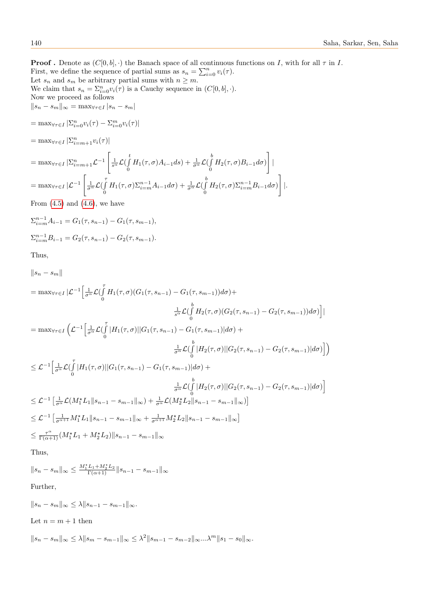**Proof**. Denote as  $(C[0, b], \cdot)$  the Banach space of all continuous functions on I, with for all  $\tau$  in I. First, we define the sequence of partial sums as  $s_n = \sum_{i=0}^n v_i(\tau)$ . Let  $s_n$  and  $s_m$  be arbitrary partial sums with  $n \geq m$ . We claim that  $s_n = \sum_{i=0}^n v_i(\tau)$  is a Cauchy sequence in  $(C[0, b], \cdot)$ . Now we proceed as follows  $||s_n - s_m||_{\infty} = \max_{\forall \tau \in I} |s_n - s_m|$ 

$$
= \max_{\forall \tau \in I} |\Sigma_{i=0}^n v_i(\tau) - \Sigma_{i=0}^m v_i(\tau)|
$$

 $= \max_{\forall \tau \in I} |\sum_{i=m+1}^n v_i(\tau)|$ 

$$
= \max_{\forall\tau\in I} |\Sigma_{i=m+1}^n \mathcal{L}^{-1}\left[\frac{1}{s^{\alpha}} \mathcal{L}(\int_0^t H_1(\tau,\sigma)A_{i-1}ds) + \frac{1}{\sigma^{\alpha}} \mathcal{L}(\int_0^b H_2(\tau,\sigma)B_{i-1}d\sigma)\right]|
$$
  
= 
$$
\max_{\forall\tau\in I} |\mathcal{L}^{-1}\left[\frac{1}{\sigma^{\alpha}} \mathcal{L}(\int_0^{\tau} H_1(\tau,\sigma)\Sigma_{i=m}^{n-1}A_{i-1}d\sigma) + \frac{1}{\sigma^{\alpha}} \mathcal{L}(\int_0^b H_2(\tau,\sigma)\Sigma_{i=m}^{n-1}B_{i-1}d\sigma)\right]|.
$$

From  $(4.5)$  and  $(4.6)$ , we have

$$
\Sigma_{i=m}^{n-1} A_{i-1} = G_1(\tau, s_{n-1}) - G_1(\tau, s_{m-1}),
$$
  

$$
\Sigma_{i=m}^{n-1} B_{i-1} = G_2(\tau, s_{n-1}) - G_2(\tau, s_{m-1}).
$$

Thus,

$$
||s_{n} - s_{m}||
$$
  
\n
$$
= \max_{\forall \tau \in I} |\mathcal{L}^{-1} \Big[ \frac{1}{\sigma^{\alpha}} \mathcal{L}(\int_{0}^{\tau} H_{1}(\tau, \sigma)(G_{1}(\tau, s_{n-1}) - G_{1}(\tau, s_{m-1})) d\sigma) +
$$
  
\n
$$
\frac{1}{s^{\alpha}} \mathcal{L}(\int_{0}^{b} H_{2}(\tau, \sigma)(G_{2}(\tau, s_{n-1}) - G_{2}(\tau, s_{m-1})) d\sigma) \Big] |
$$
  
\n
$$
= \max_{\forall \tau \in I} \Big( \mathcal{L}^{-1} \Big[ \frac{1}{\sigma^{\alpha}} \mathcal{L}(\int_{0}^{\tau} |H_{1}(\tau, \sigma)| |G_{1}(\tau, s_{n-1}) - G_{1}(\tau, s_{m-1})| d\sigma) +
$$
  
\n
$$
\frac{1}{\sigma^{\alpha}} \mathcal{L}(\int_{0}^{b} |H_{2}(\tau, \sigma)| |G_{2}(\tau, s_{n-1}) - G_{2}(\tau, s_{m-1})| d\sigma) \Big]
$$
  
\n
$$
\leq \mathcal{L}^{-1} \Big[ \frac{1}{\sigma^{\alpha}} \mathcal{L}(\int_{0}^{\tau} |H_{1}(\tau, \sigma)| |G_{1}(\tau, s_{n-1}) - G_{1}(\tau, s_{m-1})| d\sigma) +
$$
  
\n
$$
\frac{1}{\sigma^{\alpha}} \mathcal{L}(\int_{0}^{b} |H_{2}(\tau, \sigma)| |G_{2}(\tau, s_{n-1}) - G_{2}(\tau, s_{m-1})| d\sigma) \Big]
$$
  
\n
$$
\leq \mathcal{L}^{-1} \Big[ \frac{1}{\sigma^{\alpha}} \mathcal{L}(M_{1}^{*} L_{1} || s_{n-1} - s_{m-1} ||_{\infty}) + \frac{1}{\sigma^{\alpha}} \mathcal{L}(M_{2}^{*} L_{2} || s_{n-1} - s_{m-1} ||_{\infty}) \Big]
$$
  
\n
$$
\leq \mathcal{L}^{-1} \Big[ \frac{1}{\sigma^{\alpha+1}} M_{1}^{*} L_{1} || s_{n-1} - s_{m-1} ||_{\in
$$

Thus,

$$
\|s_n-s_m\|_\infty\le \tfrac{M_1^\star L_1+M_2^\star L_2}{\Gamma(\alpha+1)}\|s_{n-1}-s_{m-1}\|_\infty
$$

Further,

$$
||s_n - s_m||_{\infty} \le \lambda ||s_{n-1} - s_{m-1}||_{\infty}.
$$
  
Let  $n = m + 1$  then  

$$
||s_n - s_m||_{\infty} \le \lambda ||s_m - s_{m-1}||_{\infty} \le \lambda^2 ||s_{m-1} - s_{m-2}||_{\infty} ... \lambda^m ||s_1 - s_0||_{\infty}.
$$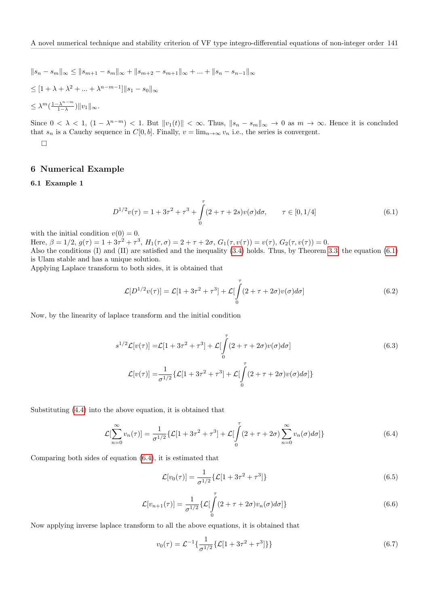$||s_n - s_m||_{\infty} \le ||s_{m+1} - s_m||_{\infty} + ||s_{m+2} - s_{m+1}||_{\infty} + ... + ||s_n - s_{n-1}||_{\infty}$  $\leq$   $[1 + \lambda + \lambda^2 + ... + \lambda^{n-m-1}]$  $||s_1 - s_0||_{\infty}$  $\leq \lambda^m \left( \frac{1-\lambda^{n-m}}{1-\lambda} \right)$  $\frac{(-\lambda^{n-m})}{1-\lambda}\|v_1\|_{\infty}.$ 

Since  $0 < \lambda < 1$ ,  $(1 - \lambda^{n-m}) < 1$ . But  $||v_1(t)|| < \infty$ . Thus,  $||s_n - s_m||_{\infty} \to 0$  as  $m \to \infty$ . Hence it is concluded that  $s_n$  is a Cauchy sequence in  $C[0, b]$ . Finally,  $v = \lim_{n \to \infty} v_n$  i.e., the series is convergent. □

# 6 Numerical Example

#### 6.1 Example 1

<span id="page-8-0"></span>
$$
D^{1/2}v(\tau) = 1 + 3\tau^2 + \tau^3 + \int_0^{\tau} (2 + \tau + 2s)v(\sigma)d\sigma, \qquad \tau \in [0, 1/4]
$$
\n(6.1)

with the initial condition  $v(0) = 0$ .

Here,  $\beta = 1/2$ ,  $g(\tau) = 1 + 3\tau^2 + \tau^3$ ,  $H_1(\tau, \sigma) = 2 + \tau + 2\sigma$ ,  $G_1(\tau, v(\tau)) = v(\tau)$ ,  $G_2(\tau, v(\tau)) = 0$ .

Also the conditions (I) and (II) are satisfied and the inequality [\(3.4\)](#page-3-1) holds. Thus, by Theorem [3.3,](#page-2-1) the equation [\(6.1\)](#page-8-0) is Ulam stable and has a unique solution.

Applying Laplace transform to both sides, it is obtained that

$$
\mathcal{L}[D^{1/2}v(\tau)] = \mathcal{L}[1 + 3\tau^2 + \tau^3] + \mathcal{L}[\int_0^\tau (2 + \tau + 2\sigma)v(\sigma)d\sigma]
$$
\n(6.2)

Now, by the linearity of laplace transform and the initial condition

$$
s^{1/2} \mathcal{L}[v(\tau)] = \mathcal{L}[1 + 3\tau^2 + \tau^3] + \mathcal{L}[\int_0^{\tau} (2 + \tau + 2\sigma)v(\sigma)d\sigma]
$$
  

$$
\mathcal{L}[v(\tau)] = \frac{1}{\sigma^{1/2}} \{ \mathcal{L}[1 + 3\tau^2 + \tau^3] + \mathcal{L}[\int_0^{\tau} (2 + \tau + 2\sigma)v(\sigma)d\sigma] \}
$$
(6.3)

Substituting [\(4.4\)](#page-5-2) into the above equation, it is obtained that

<span id="page-8-1"></span>
$$
\mathcal{L}[\sum_{n=0}^{\infty} v_n(\tau)] = \frac{1}{\sigma^{1/2}} \{ \mathcal{L}[1 + 3\tau^2 + \tau^3] + \mathcal{L}[\int_0^{\tau} (2 + \tau + 2\sigma) \sum_{n=0}^{\infty} v_n(\sigma) d\sigma] \}
$$
(6.4)

Comparing both sides of equation [\(6.4\)](#page-8-1), it is estimated that

$$
\mathcal{L}[v_0(\tau)] = \frac{1}{\sigma^{1/2}} \{ \mathcal{L}[1 + 3\tau^2 + \tau^3] \} \tag{6.5}
$$

$$
\mathcal{L}[v_{n+1}(\tau)] = \frac{1}{\sigma^{1/2}} \{ \mathcal{L}[\int_{0}^{\tau} (2 + \tau + 2\sigma)v_n(\sigma)d\sigma] \}
$$
\n(6.6)

Now applying inverse laplace transform to all the above equations, it is obtained that

$$
v_0(\tau) = \mathcal{L}^{-1}\left\{\frac{1}{\sigma^{1/2}}\left\{\mathcal{L}[1 + 3\tau^2 + \tau^3]\right\}\right\}
$$
\n(6.7)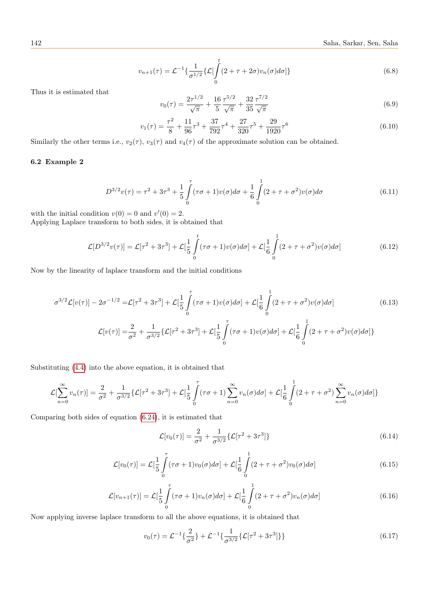$$
v_{n+1}(\tau) = \mathcal{L}^{-1}\left\{\frac{1}{\sigma^{1/2}}\left\{\mathcal{L}\left[\int_{0}^{t}(2+\tau+2\sigma)v_{n}(\sigma)d\sigma\right]\right\}\right\}
$$
(6.8)

Thus it is estimated that

$$
v_0(\tau) = \frac{2\tau^{1/2}}{\sqrt{\pi}} + \frac{16}{5} \frac{\tau^{5/2}}{\sqrt{\pi}} + \frac{32}{35} \frac{\tau^{7/2}}{\sqrt{\pi}}
$$
(6.9)

$$
v_1(\tau) = \frac{\tau^2}{8} + \frac{11}{96}\tau^3 + \frac{37}{792}\tau^4 + \frac{27}{320}\tau^5 + \frac{29}{1920}\tau^6
$$
 (6.10)

Similarly the other terms i.e.,  $v_2(\tau)$ ,  $v_3(\tau)$  and  $v_4(\tau)$  of the approximate solution can be obtained.

# 6.2 Example 2

$$
D^{3/2}v(\tau) = \tau^2 + 3\tau^3 + \frac{1}{5} \int_{0}^{\tau} (\tau \sigma + 1)v(\sigma) d\sigma + \frac{1}{6} \int_{0}^{1} (2 + \tau + \sigma^2)v(\sigma) d\sigma \tag{6.11}
$$

with the initial condition  $v(0) = 0$  and  $v'(0) = 2$ . Applying Laplace transform to both sides, it is obtained that

$$
\mathcal{L}[D^{3/2}v(\tau)] = \mathcal{L}[\tau^2 + 3\tau^3] + \mathcal{L}[\frac{1}{5} \int_0^t (\tau \sigma + 1)v(\sigma) d\sigma] + \mathcal{L}[\frac{1}{6} \int_0^1 (2 + \tau + \sigma^2)v(\sigma) d\sigma]
$$
(6.12)

Now by the linearity of laplace transform and the initial conditions

$$
\sigma^{3/2} \mathcal{L}[v(\tau)] - 2\sigma^{-1/2} = \mathcal{L}[\tau^2 + 3\tau^3] + \mathcal{L}[\frac{1}{5} \int_0^{\tau} (\tau \sigma + 1)v(\sigma) d\sigma] + \mathcal{L}[\frac{1}{6} \int_0^1 (2 + \tau + \sigma^2)v(\sigma) d\sigma]
$$
\n
$$
\mathcal{L}[v(\tau)] = \frac{2}{\sigma^2} + \frac{1}{\sigma^{3/2}} \{ \mathcal{L}[\tau^2 + 3\tau^3] + \mathcal{L}[\frac{1}{5} \int_0^{\tau} (\tau \sigma + 1)v(\sigma) d\sigma] + \mathcal{L}[\frac{1}{6} \int_0^1 (2 + \tau + \sigma^2)v(\sigma) d\sigma] \}
$$
\n(6.13)

Substituting [\(4.4\)](#page-5-2) into the above equation, it is obtained that

$$
\mathcal{L}[\sum_{n=0}^{\infty} v_n(\tau)] = \frac{2}{\sigma^2} + \frac{1}{\sigma^{3/2}} \{ \mathcal{L}[\tau^2 + 3\tau^3] + \mathcal{L}[\frac{1}{5} \int_{0}^{\tau} (\tau \sigma + 1) \sum_{n=0}^{\infty} v_n(\sigma) d\sigma] + \mathcal{L}[\frac{1}{6} \int_{0}^{1} (2 + \tau + \sigma^2) \sum_{n=0}^{\infty} v_n(\sigma) d\sigma] \}
$$

Comparing both sides of equation [\(6.24\)](#page-10-0), it is estimated that

$$
\mathcal{L}[v_0(\tau)] = \frac{2}{\sigma^2} + \frac{1}{\sigma^{3/2}} \{ \mathcal{L}[\tau^2 + 3\tau^3] \} \tag{6.14}
$$

$$
\mathcal{L}[v_0(\tau)] = \mathcal{L}[\frac{1}{5} \int_0^{\tau} (\tau \sigma + 1)v_0(\sigma) d\sigma] + \mathcal{L}[\frac{1}{6} \int_0^1 (2 + \tau + \sigma^2)v_0(\sigma) d\sigma]
$$
\n(6.15)

$$
\mathcal{L}[v_{n+1}(\tau)] = \mathcal{L}[\frac{1}{5} \int_{0}^{\tau} (\tau \sigma + 1)v_n(\sigma) d\sigma] + \mathcal{L}[\frac{1}{6} \int_{0}^{1} (2 + \tau + \sigma^2)v_n(\sigma) d\sigma]
$$
(6.16)

Now applying inverse laplace transform to all the above equations, it is obtained that

$$
v_0(\tau) = \mathcal{L}^{-1}\left\{\frac{2}{\sigma^2}\right\} + \mathcal{L}^{-1}\left\{\frac{1}{\sigma^{3/2}}\left\{\mathcal{L}[\tau^2 + 3\tau^3]\right\}\right\} \tag{6.17}
$$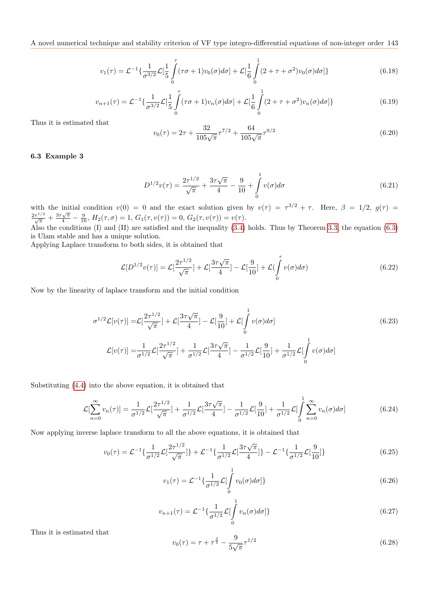A novel numerical technique and stability criterion of VF type integro-differential equations of non-integer order 143

$$
v_1(\tau) = \mathcal{L}^{-1}\left\{\frac{1}{\sigma^{3/2}}\mathcal{L}\left[\frac{1}{5}\int\limits_0^\tau (\tau\sigma + 1)v_0(\sigma)d\sigma\right] + \mathcal{L}\left[\frac{1}{6}\int\limits_0^\tau (2 + \tau + \sigma^2)v_0(\sigma)d\sigma\right]\right\}
$$
(6.18)

$$
v_{n+1}(\tau) = \mathcal{L}^{-1}\left\{\frac{1}{\sigma^{3/2}}\mathcal{L}\left[\frac{1}{5}\int_{0}^{\tau} (\tau\sigma + 1)v_n(\sigma)d\sigma\right] + \mathcal{L}\left[\frac{1}{6}\int_{0}^{1} (2 + \tau + \sigma^2)v_n(\sigma)d\sigma\right]\right\}
$$
(6.19)

Thus it is estimated that

$$
v_0(\tau) = 2\tau + \frac{32}{105\sqrt{\pi}}\tau^{7/2} + \frac{64}{105\sqrt{\pi}}\tau^{9/2}
$$
\n(6.20)

## <span id="page-10-1"></span>6.3 Example 3

$$
D^{1/2}v(\tau) = \frac{2\tau^{1/2}}{\sqrt{\pi}} + \frac{3\tau\sqrt{\pi}}{4} - \frac{9}{10} + \int_{0}^{1} v(\sigma)d\sigma
$$
 (6.21)

with the initial condition  $v(0) = 0$  and the exact solution given by  $v(\tau) = \tau^{3/2} + \tau$ . Here,  $\beta = 1/2$ ,  $g(\tau) =$  $\frac{2\tau^{1/2}}{\sqrt{\pi}} + \frac{3\tau\sqrt{\pi}}{4} - \frac{9}{10}, H_2(\tau, \sigma) = 1, G_1(\tau, v(\tau)) = 0, G_2(\tau, v(\tau)) = v(\tau).$ 

Also the conditions (I) and (II) are satisfied and the inequality  $(3.4)$  holds. Thus by Theorem [3.3,](#page-2-1) the equation  $(6.3)$ is Ulam stable and has a unique solution.

Applying Laplace transform to both sides, it is obtained that

$$
\mathcal{L}[D^{1/2}v(\tau)] = \mathcal{L}[\frac{2\tau^{1/2}}{\sqrt{\pi}}] + \mathcal{L}[\frac{3\tau\sqrt{\pi}}{4}] - \mathcal{L}[\frac{9}{10}] + \mathcal{L}(\int_{0}^{\tau}v(\sigma)d\sigma)
$$
\n(6.22)

Now by the linearity of laplace transform and the initial condition

$$
\sigma^{1/2} \mathcal{L}[v(\tau)] = \mathcal{L}[\frac{2\tau^{1/2}}{\sqrt{\pi}}] + \mathcal{L}[\frac{3\tau\sqrt{\pi}}{4}] - \mathcal{L}[\frac{9}{10}] + \mathcal{L}[\int_{0}^{1} v(\sigma)d\sigma]
$$
\n
$$
\mathcal{L}[v(\tau)] = \frac{1}{\sigma^{1/2}} \mathcal{L}[\frac{2\tau^{1/2}}{\sqrt{\pi}}] + \frac{1}{\sigma^{1/2}} \mathcal{L}[\frac{3\tau\sqrt{\pi}}{4}] - \frac{1}{\sigma^{1/2}} \mathcal{L}[\frac{9}{10}] + \frac{1}{\sigma^{1/2}} \mathcal{L}[\int_{0}^{1} v(\sigma)d\sigma]
$$
\n(6.23)

Substituting [\(4.4\)](#page-5-2) into the above equation, it is obtained that

<span id="page-10-0"></span>
$$
\mathcal{L}[\sum_{n=0}^{\infty} v_n(\tau)] = \frac{1}{\sigma^{1/2}} \mathcal{L}[\frac{2\tau^{1/2}}{\sqrt{\pi}}] + \frac{1}{\sigma^{1/2}} \mathcal{L}[\frac{3\tau\sqrt{\pi}}{4}] - \frac{1}{\sigma^{1/2}} \mathcal{L}[\frac{9}{10}] + \frac{1}{\sigma^{1/2}} \mathcal{L}[\int_{0}^{1} \sum_{n=0}^{\infty} v_n(\sigma) d\sigma]
$$
(6.24)

Now applying inverse laplace transform to all the above equations, it is obtained that

$$
v_0(\tau) = \mathcal{L}^{-1}\left\{\frac{1}{\sigma^{1/2}}\mathcal{L}\left[\frac{2\tau^{1/2}}{\sqrt{\pi}}\right]\right\} + \mathcal{L}^{-1}\left\{\frac{1}{\sigma^{1/2}}\mathcal{L}\left[\frac{3\tau\sqrt{\pi}}{4}\right]\right\} - \mathcal{L}^{-1}\left\{\frac{1}{\sigma^{1/2}}\mathcal{L}\left[\frac{9}{10}\right]\right\}
$$
(6.25)

$$
v_1(\tau) = \mathcal{L}^{-1}\left\{\frac{1}{\sigma^{1/2}}\mathcal{L}[\int_0^1 v_0(\sigma)d\sigma]\right\}
$$
\n(6.26)

$$
v_{n+1}(\tau) = \mathcal{L}^{-1}\left\{\frac{1}{\sigma^{1/2}}\mathcal{L}[\int_{0}^{1} v_n(\sigma)d\sigma]\right\}
$$
\n(6.27)

Thus it is estimated that

$$
v_0(\tau) = \tau + \tau^{\frac{3}{2}} - \frac{9}{5\sqrt{\pi}} \tau^{1/2}
$$
\n(6.28)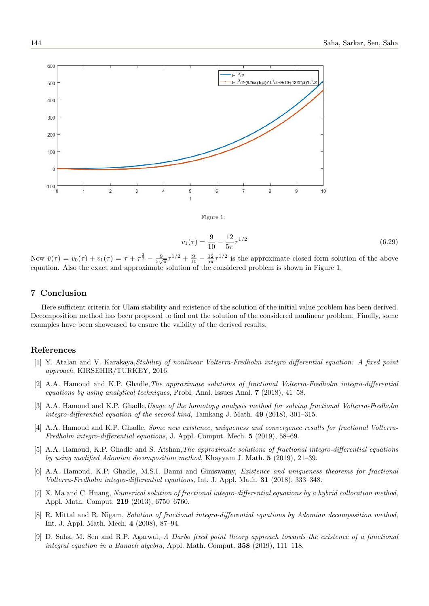



$$
v_1(\tau) = \frac{9}{10} - \frac{12}{5\pi} \tau^{1/2}
$$
\n(6.29)

Now  $\tilde{v}(\tau) = v_0(\tau) + v_1(\tau) = \tau + \tau^{\frac{3}{2}} - \frac{9}{5\sqrt{\pi}}\tau^{1/2} + \frac{9}{10} - \frac{12}{5\pi}\tau^{1/2}$  is the approximate closed form solution of the above equation. Also the exact and approximate solution of the considered problem is shown in Figure 1.

#### 7 Conclusion

Here sufficient criteria for Ulam stability and existence of the solution of the initial value problem has been derived. Decomposition method has been proposed to find out the solution of the considered nonlinear problem. Finally, some examples have been showcased to ensure the validity of the derived results.

#### References

- <span id="page-11-7"></span>[1] Y. Atalan and V. Karakaya,Stability of nonlinear Volterra-Fredholm integro differential equation: A fixed point approach, KIRSEHIR/TURKEY, 2016.
- <span id="page-11-2"></span>[2] A.A. Hamoud and K.P. Ghadle,The approximate solutions of fractional Volterra-Fredholm integro-differential equations by using analytical techniques, Probl. Anal. Issues Anal. 7 (2018), 41–58.
- <span id="page-11-3"></span>[3] A.A. Hamoud and K.P. Ghadle, Usage of the homotopy analysis method for solving fractional Volterra-Fredholm integro-differential equation of the second kind, Tamkang J. Math.  $49$  (2018), 301–315.
- [4] A.A. Hamoud and K.P. Ghadle, Some new existence, uniqueness and convergence results for fractional Volterra-Fredholm integro-differential equations, J. Appl. Comput. Mech. 5 (2019), 58–69.
- <span id="page-11-6"></span>[5] A.A. Hamoud, K.P. Ghadle and S. Atshan, The approximate solutions of fractional integro-differential equations by using modified Adomian decomposition method, Khayyam J. Math. 5 (2019), 21–39.
- <span id="page-11-0"></span>[6] A.A. Hamoud, K.P. Ghadle, M.S.I. Banni and Giniswamy, Existence and uniqueness theorems for fractional Volterra-Fredholm integro-differential equations, Int. J. Appl. Math. 31 (2018), 333–348.
- <span id="page-11-4"></span>[7] X. Ma and C. Huang, Numerical solution of fractional integro-differential equations by a hybrid collocation method. Appl. Math. Comput. 219 (2013), 6750–6760.
- <span id="page-11-5"></span>[8] R. Mittal and R. Nigam, Solution of fractional integro-differential equations by Adomian decomposition method, Int. J. Appl. Math. Mech. 4 (2008), 87–94.
- <span id="page-11-1"></span>[9] D. Saha, M. Sen and R.P. Agarwal, A Darbo fixed point theory approach towards the existence of a functional integral equation in a Banach algebra, Appl. Math. Comput.  $358$  (2019), 111–118.